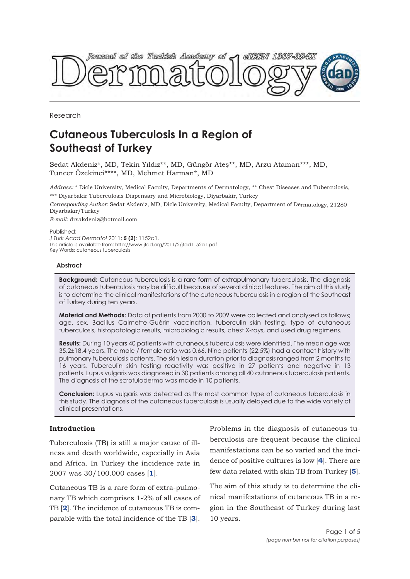

Research

# **Cutaneous Tuberculosis In a Region of Southeast of Turkey**

Sedat Akdeniz\*, MD, Tekin Yıldız\*\*, MD, Güngör Ateş\*\*, MD, Arzu Ataman\*\*\*, MD, Tuncer Özekinci\*\*\*\*, MD, Mehmet Harman\*, MD

*Address:* \* Dicle University, Medical Faculty, Departments of Dermatology, \*\* Chest Diseases and Tuberculosis, \*\*\* Diyarbakir Tuberculosis Dispensary and Microbiology, Diyarbakir, Turkey

*Corresponding Author:* Sedat Akdeniz, MD, Dicle University, Medical Faculty, Department of Dermatology, 21280 Diyarbakır/Turkey

*E-mail:* drsakdeniz@hotmail.com

Published: *J Turk Acad Dermatol* 2011; **5 (2)**: 1152a1. This article is available from: http://www.jtad.org/2011/2/jtad1152a1.pdf Key Words: cutaneous tuberculosis

# **Abstract**

**Background:** Cutaneous tuberculosis is a rare form of extrapulmonary tuberculosis. The diagnosis of cutaneous tuberculosis may be difficult because of several clinical features. The aim of this study is to determine the clinical manifestations of the cutaneous tuberculosis in a region of the Southeast of Turkey during ten years.

**Material and Methods:** Data of patients from 2000 to 2009 were collected and analysed as follows; age, sex, Bacillus Calmette-Guérin vaccination, tuberculin skin testing, type of cutaneous tuberculosis, histopatologic results, microbiologic results, chest X-rays, and used drug regimens.

**Results:** During 10 years 40 patients with cutaneous tuberculosis were identified. The mean age was 35.2±18.4 years. The male / female ratio was 0.66. Nine patients (22.5%) had a contact history with pulmonary tuberculosis patients. The skin lesion duration prior to diagnosis ranged from 2 months to 16 years. Tuberculin skin testing reactivity was positive in 27 patients and negative in 13 patients. Lupus vulgaris was diagnosed in 30 patients among all 40 cutaneous tuberculosis patients. The diagnosis of the scrofuloderma was made in 10 patients.

**Conclusion:** Lupus vulgaris was detected as the most common type of cutaneous tuberculosis in this study. The diagnosis of the cutaneous tuberculosis is usually delayed due to the wide variety of clinical presentations.

# **Introduction**

Tuberculosis (TB) is still a major cause of illness and death worldwide, especially in Asia and Africa. In Turkey the incidence rate in 2007 was 30/100.000 cases [**1**].

Cutaneous TB is a rare form of extra-pulmonary TB which comprises 1-2% of all cases of TB [**2**]. The incidence of cutaneous TB is comparable with the total incidence of the TB [**3**].

Problems in the diagnosis of cutaneous tuberculosis are frequent because the clinical manifestations can be so varied and the incidence of positive cultures is low [**4**]. There are few data related with skin TB from Turkey [**5**].

The aim of this study is to determine the clinical manifestations of cutaneous TB in a region in the Southeast of Turkey during last 10 years.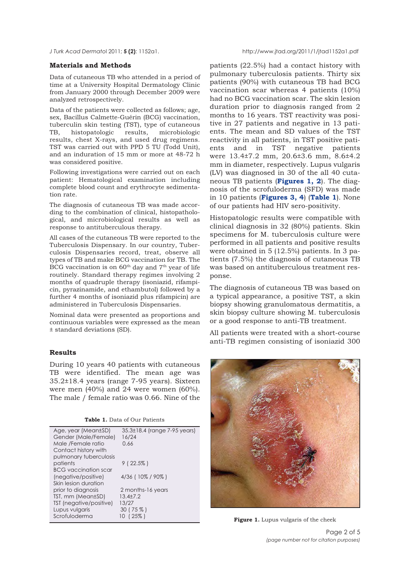#### **Materials and Methods**

Data of cutaneous TB who attended in a period of time at a University Hospital Dermatology Clinic from January 2000 through December 2009 were analyzed retrospectively.

Data of the patients were collected as follows; age, sex, Bacillus Calmette-Guérin (BCG) vaccination, tuberculin skin testing (TST), type of cutaneous TB, histopatologic results, microbiologic results, chest X-rays, and used drug regimens. TST was carried out with PPD 5 TU (Todd Unit), and an induration of 15 mm or more at 48-72 h was considered positive.

Following investigations were carried out on each patient: Hematological examination including complete blood count and erythrocyte sedimentation rate.

The diagnosis of cutaneous TB was made according to the combination of clinical, histopathological, and microbiological results as well as response to antituberculous therapy.

All cases of the cutaneous TB were reported to the Tuberculosis Dispensary. In our country, Tuberculosis Dispensaries record, treat, observe all types of TB and make BCG vaccination for TB. The BCG vaccination is on  $60<sup>th</sup>$  day and  $7<sup>th</sup>$  year of life routinely. Standard therapy regimes involving 2 months of quadruple therapy (isoniazid, rifampicin, pyrazinamide, and ethambutol) followed by a further 4 months of isoniazid plus rifampicin) are administered in Tuberculosis Dispensaries.

Nominal data were presented as proportions and continuous variables were expressed as the mean ± standard deviations (SD).

# **Results**

During 10 years 40 patients with cutaneous TB were identified. The mean age was 35.2±18.4 years (range 7-95 years). Sixteen were men (40%) and 24 were women (60%). The male / female ratio was 0.66. Nine of the

|  |  |  |  |  | Table 1. Data of Our Patients |
|--|--|--|--|--|-------------------------------|
|--|--|--|--|--|-------------------------------|

| 35.3±18.4 (range 7-95 years)<br>16/24 |
|---------------------------------------|
| 0.66                                  |
|                                       |
| $9(22.5\%)$                           |
| 4/36 (10% / 90%)                      |
|                                       |
| 2 months-16 years                     |
| $13.4 + 7.2$                          |
| 13/27                                 |
| $30(75\%)$                            |
| 10 (25%)                              |
|                                       |

patients (22.5%) had a contact history with pulmonary tuberculosis patients. Thirty six patients (90%) with cutaneous TB had BCG vaccination scar whereas 4 patients (10%) had no BCG vaccination scar. The skin lesion duration prior to diagnosis ranged from 2 months to 16 years. TST reactivity was positive in 27 patients and negative in 13 patients. The mean and SD values of the TST reactivity in all patients, in TST positive patients and in TST negative patients were 13.4±7.2 mm, 20.6±3.6 mm, 8.6±4.2 mm in diameter, respectively. Lupus vulgaris (LV) was diagnosed in 30 of the all 40 cutaneous TB patients (**Figures 1, 2**). The diagnosis of the scrofuloderma (SFD) was made in 10 patients (**Figures 3, 4**) (**Table 1**). None of our patients had HIV sero-positivity.

Histopatologic results were compatible with clinical diagnosis in 32 (80%) patients. Skin specimens for M. tuberculosis culture were performed in all patients and positive results were obtained in 5 (12.5%) patients. In 3 patients (7.5%) the diagnosis of cutaneous TB was based on antituberculous treatment response.

The diagnosis of cutaneous TB was based on a typical appearance, a positive TST, a skin biopsy showing granulomatous dermatitis, a skin biopsy culture showing M. tuberculosis or a good response to anti-TB treatment.

All patients were treated with a short-course anti-TB regimen consisting of isoniazid 300



Figure 1. Lupus vulgaris of the cheek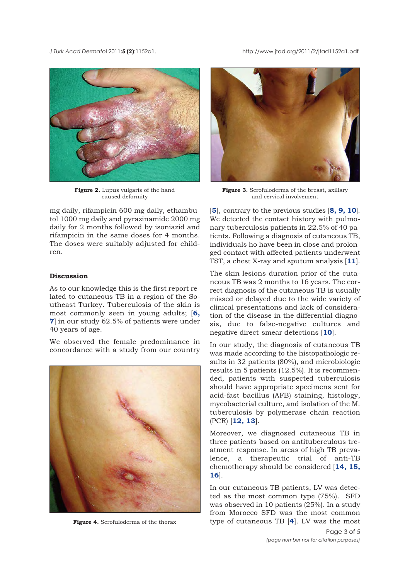*J Turk Acad Dermato*l 2011;**5 (2)**:1152a1. http://www.jtad.org/2011/2/jtad1152a1.pdf



**Figure 2.** Lupus vulgaris of the hand caused deformity

mg daily, rifampicin 600 mg daily, ethambutol 1000 mg daily and pyrazinamide 2000 mg daily for 2 months followed by isoniazid and rifampicin in the same doses for 4 months. The doses were suitably adjusted for children.

## **Discussion**

As to our knowledge this is the first report related to cutaneous TB in a region of the Southeast Turkey. Tuberculosis of the skin is most commonly seen in young adults; [**6, 7**] in our study 62.5% of patients were under 40 years of age.

We observed the female predominance in concordance with a study from our country



**Figure 4.** Scrofuloderma of the thorax



**Figure 3.** Scrofuloderma of the breast, axillary and cervical involvement

[**5**], contrary to the previous studies [**8, 9, 10**]. We detected the contact history with pulmonary tuberculosis patients in 22.5% of 40 patients. Following a diagnosis of cutaneous TB, individuals ho have been in close and prolonged contact with affected patients underwent TST, a chest X-ray and sputum analysis [**11**].

The skin lesions duration prior of the cutaneous TB was 2 months to 16 years. The correct diagnosis of the cutaneous TB is usually missed or delayed due to the wide variety of clinical presentations and lack of consideration of the disease in the differential diagnosis, due to false-negative cultures and negative direct-smear detections [**10**].

In our study, the diagnosis of cutaneous TB was made according to the histopathologic results in 32 patients (80%), and microbiologic results in 5 patients (12.5%). It is recommended, patients with suspected tuberculosis should have appropriate specimens sent for acid-fast bacillus (AFB) staining, histology, mycobacterial culture, and isolation of the M. tuberculosis by polymerase chain reaction (PCR) [**12, 13**].

Moreover, we diagnosed cutaneous TB in three patients based on antituberculous treatment response. In areas of high TB prevalence, a therapeutic trial of anti-TB chemotherapy should be considered [**14, 15, 16**].

In our cutaneous TB patients, LV was detected as the most common type (75%). SFD was observed in 10 patients (25%). In a study from Morocco SFD was the most common type of cutaneous TB [**4**]. LV was the most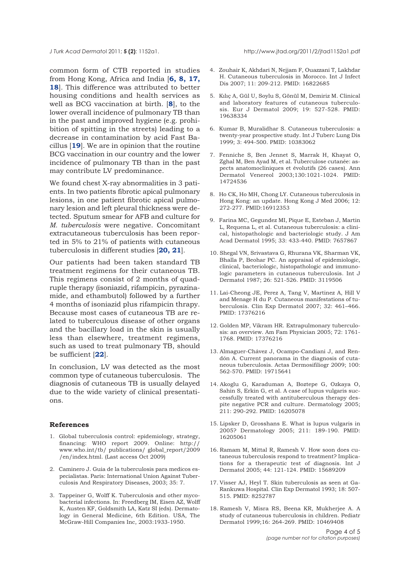common form of CTB reported in studies from Hong Kong, Africa and India [**6, 8, 17, 18**]. This difference was attributed to better housing conditions and health services as well as BCG vaccination at birth. [**8**], to the lower overall incidence of pulmonary TB than in the past and improved hygiene (e.g. prohibition of spitting in the streets) leading to a decrease in contamination by acid Fast Bacillus [**19**]. We are in opinion that the routine BCG vaccination in our country and the lower incidence of pulmonary TB than in the past may contribute LV predominance.

We found chest X-ray abnormalities in 3 patients. In two patients fibrotic apical pulmonary lesions, in one patient fibrotic apical pulmonary lesion and left pleural thickness were detected. Sputum smear for AFB and culture for *M. tuberculosis* were negative. Concomitant extracutaneous tuberculosis has been reported in 5% to 21% of patients with cutaneous tuberculosis in different studies [**20, 21**].

Our patients had been taken standard TB treatment regimens for their cutaneous TB. This regimens consist of 2 months of quadruple therapy (isoniazid, rifampicin, pyrazinamide, and ethambutol) followed by a further 4 months of isoniazid plus rifampicin thrapy. Because most cases of cutaneous TB are related to tuberculous disease of other organs and the bacillary load in the skin is usually less than elsewhere, treatment regimens, such as used to treat pulmonary TB, should be sufficient [**22**].

In conclusion, LV was detected as the most common type of cutaneous tuberculosis. The diagnosis of cutaneous TB is usually delayed due to the wide variety of clinical presentations.

### **References**

- 1. Global tuberculosis control: epidemiology, strategy, financing: WHO report 2009. Online: http:// www.who.int/tb/ publications/ global report/2009 /en/index.html. (Last access Oct 2009)
- 2. Caminero J. Guia de la tuberculosis para medicos especialistas. Paris: International Union Against Tuberculosis And Respiratory Diseases, 2003; 35: 7.
- 3. Tappeiner G, Wolff K. Tuberculosis and other mycobacterial infections. In: Freedberg IM, Eisen AZ, Wolff K, Austen KF, Goldsmith LA, Katz SI (eds). Dermatology in General Medicine, 6th Edition. USA, The McGraw-Hill Companies Inc, 2003:1933-1950.
- 4. Zouhair K, Akhdari N, Nejjam F, Ouazzani T, Lakhdar H. Cutaneous tuberculosis in Morocco. Int J Infect Dis 2007; 11: 209-212. PMID: 16822685
- 5. Kılıç A, Gül U, Soylu S, Gönül M, Demiriz M. Clinical and laboratory features of cutaneous tuberculosis. Eur J Dermatol 2009; 19: 527-528. PMID: 19638334
- 6. Kumar B, Muralidhar S. Cutaneous tuberculosis: a twenty-year prospective study. Int J Tuberc Lung Dis 1999; 3: 494-500. PMID: 10383062
- 7. Fenniche S, Ben Jennet S, Marrak H, Khayat O, Zghal M, Ben Ayad M, et al. Tuberculose cutanée: aspects anatomocliniques et évolutifs (26 cases). Ann Dermatol Venereol 2003;130:1021-1024. PMID: 14724536
- 8. Ho CK, Ho MH, Chong LY. Cutaneous tuberculosis in Hong Kong: an update. Hong Kong J Med 2006; 12: 272-277. PMID:16912353
- 9. Farina MC, Gegundez MI, Pique E, Esteban J, Martin L, Requena L, et al. Cutaneous tuberculosis: a clinical, histopathologic and bacteriologic study. J Am Acad Dermatol 1995; 33: 433-440. PMID: 7657867
- 10. Shegal VN, Srivastava G, Rhurana VK, Sharman VK, Bhalla P, Beohar PC. An appraisal of epidemiologic, clinical, bacteriologic, histopathologic and immunologic parameters in cutaneous tuberculosis. Int J Dermatol 1987; 26: 521-526. PMID: 3119506
- 11. Lai-Cheong JE, Perez A, Tang V, Martinez A, Hill V and Menage H du P. Cutaneous manifestations of tuberculosis. Clin Exp Dermatol 2007; 32: 461–466. PMID: 17376216
- 12. Golden MP, Vikram HR. Extrapulmonary tuberculosis: an overview. Am Fam Physician 2005; 72: 1761- 1768. PMID: 17376216
- 13. Almaguer-Chávez J, Ocampo-Candiani J, and Rendón A. Current panorama in the diagnosis of cutaneous tuberculosis. Actas Dermosifiliogr 2009; 100: 562-570. PMID: 19715641
- 14. Akoglu G, Karaduman A, Boztepe G, Ozkaya O, Sahin S, Erkin G, et al. A case of lupus vulgaris successfully treated with antituberculous therapy despite negative PCR and culture. Dermatology 2005; 211: 290-292. PMID: 16205078
- 15. Lipsker D, Grosshans E. What is lupus vulgaris in 2005? Dermatology 2005; 211: 189-190. PMID: 16205061
- 16. Ramam M, Mittal R, Ramesh V. How soon does cutaneous tuberculosis respond to treatment? Implications for a therapeutic test of diagnosis. Int J Dermatol 2005; 44: 121-124. PMID: 15689209
- 17. Visser AJ, Heyl T. Skin tuberculosis as seen at Ga-Rankuwa Hospital. Clin Exp Dermatol 1993; 18: 507- 515. PMID: 8252787
- 18. Ramesh V, Misra RS, Beena KR, Mukherjee A. A study of cutaneous tuberculosis in children. Pediatr Dermatol 1999;16: 264-269. PMID: 10469408